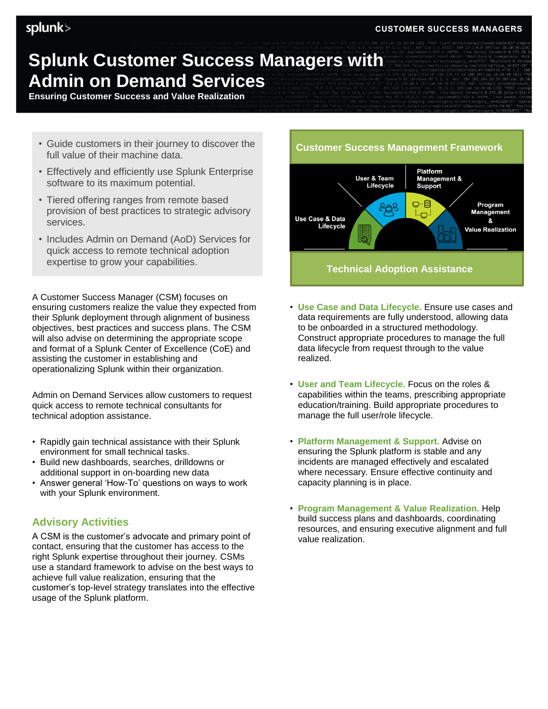#### **CUSTOMER SUCCESS MANAGERS**

# splunk>

# **Splunk Customer Success Managers with Admin on Demand Services**

**Ensuring Customer Success and Value Realization**

- Guide customers in their journey to discover the full value of their machine data.
- Effectively and efficiently use Splunk Enterprise software to its maximum potential.
- Tiered offering ranges from remote based provision of best practices to strategic advisory services.
- Includes Admin on Demand (AoD) Services for quick access to remote technical adoption expertise to grow your capabilities.

A Customer Success Manager (CSM) focuses on ensuring customers realize the value they expected from their Splunk deployment through alignment of business objectives, best practices and success plans. The CSM will also advise on determining the appropriate scope and format of a Splunk Center of Excellence (CoE) and assisting the customer in establishing and operationalizing Splunk within their organization.

Admin on Demand Services allow customers to request quick access to remote technical consultants for technical adoption assistance.

- Rapidly gain technical assistance with their Splunk environment for small technical tasks.
- Build new dashboards, searches, drilldowns or additional support in on-boarding new data
- Answer general 'How-To' questions on ways to work with your Splunk environment.

## **Advisory Activities**

A CSM is the customer's advocate and primary point of contact, ensuring that the customer has access to the right Splunk expertise throughout their journey. CSMs use a standard framework to advise on the best ways to achieve full value realization, ensuring that the customer's top-level strategy translates into the effective usage of the Splunk platform.

#### **Customer Success Management Framework**



- **Use Case and Data Lifecycle.** Ensure use cases and data requirements are fully understood, allowing data to be onboarded in a structured methodology. Construct appropriate procedures to manage the full data lifecycle from request through to the value realized.
- **User and Team Lifecycle.** Focus on the roles & capabilities within the teams, prescribing appropriate education/training. Build appropriate procedures to manage the full user/role lifecycle.
- **Platform Management & Support.** Advise on ensuring the Splunk platform is stable and any incidents are managed effectively and escalated where necessary. Ensure effective continuity and capacity planning is in place.
- **Program Management & Value Realization.** Help build success plans and dashboards, coordinating resources, and ensuring executive alignment and full value realization.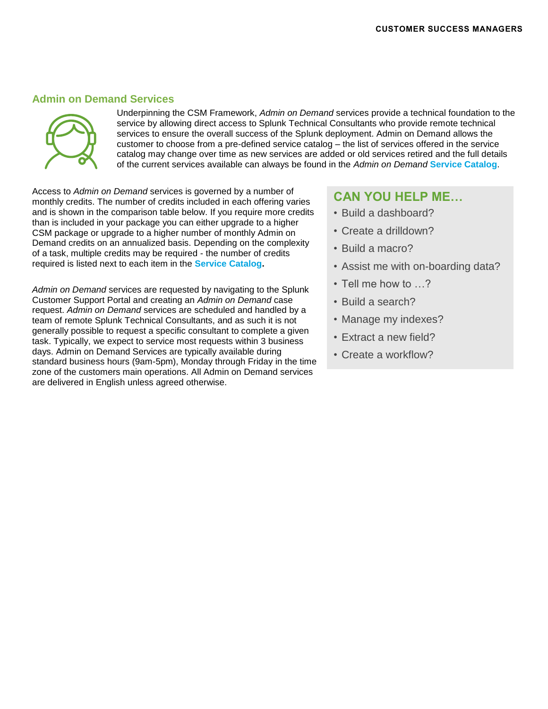### **Admin on Demand Services**



Underpinning the CSM Framework, *Admin on Demand* services provide a technical foundation to the service by allowing direct access to Splunk Technical Consultants who provide remote technical services to ensure the overall success of the Splunk deployment. Admin on Demand allows the customer to choose from a pre-defined service catalog – the list of services offered in the service catalog may change over time as new services are added or old services retired and the full details of the current services available can always be found in the *Admin on Demand* **[Service Catalog](https://www.splunk.com/pdfs/legal/Splunk-Admin-On-Demand-Services-Catalog-101.pdf)**.

Access to *Admin on Demand* services is governed by a number of monthly credits. The number of credits included in each offering varies and is shown in the comparison table below. If you require more credits than is included in your package you can either upgrade to a higher CSM package or upgrade to a higher number of monthly Admin on Demand credits on an annualized basis. Depending on the complexity of a task, multiple credits may be required - the number of credits required is listed next to each item in the **[Service Catalog.](https://www.splunk.com/pdfs/legal/Splunk-Admin-On-Demand-Services-Catalog-101.pdf)**

*Admin on Demand* services are requested by navigating to the Splunk Customer Support Portal and creating an *Admin on Demand* case request. *Admin on Demand* services are scheduled and handled by a team of remote Splunk Technical Consultants, and as such it is not generally possible to request a specific consultant to complete a given task. Typically, we expect to service most requests within 3 business days. Admin on Demand Services are typically available during standard business hours (9am-5pm), Monday through Friday in the time zone of the customers main operations. All Admin on Demand services are delivered in English unless agreed otherwise.

## **CAN YOU HELP ME…**

- Build a dashboard?
- Create a drilldown?
- Build a macro?
- Assist me with on-boarding data?
- Tell me how to …?
- Build a search?
- Manage my indexes?
- Extract a new field?
- Create a workflow?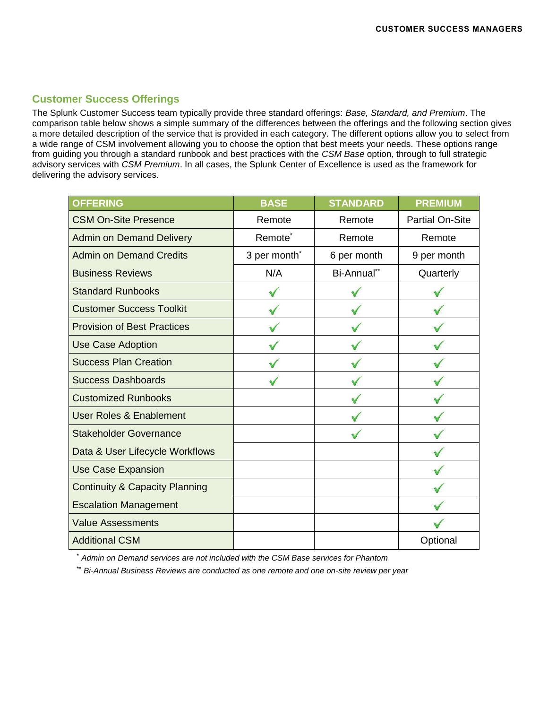# **Customer Success Offerings**

The Splunk Customer Success team typically provide three standard offerings: *Base, Standard, and Premium*. The comparison table below shows a simple summary of the differences between the offerings and the following section gives a more detailed description of the service that is provided in each category. The different options allow you to select from a wide range of CSM involvement allowing you to choose the option that best meets your needs. These options range from guiding you through a standard runbook and best practices with the *CSM Base* option, through to full strategic advisory services with *CSM Premium*. In all cases, the Splunk Center of Excellence is used as the framework for delivering the advisory services.

| <b>OFFERING</b>                           | <b>BASE</b>              | <b>STANDARD</b> | <b>PREMIUM</b>         |
|-------------------------------------------|--------------------------|-----------------|------------------------|
| <b>CSM On-Site Presence</b>               | Remote                   | Remote          | <b>Partial On-Site</b> |
| <b>Admin on Demand Delivery</b>           | Remote <sup>*</sup>      | Remote          | Remote                 |
| <b>Admin on Demand Credits</b>            | 3 per month <sup>*</sup> | 6 per month     | 9 per month            |
| <b>Business Reviews</b>                   | N/A                      | Bi-Annual**     | Quarterly              |
| <b>Standard Runbooks</b>                  |                          |                 |                        |
| <b>Customer Success Toolkit</b>           |                          |                 |                        |
| <b>Provision of Best Practices</b>        |                          |                 |                        |
| Use Case Adoption                         |                          |                 |                        |
| <b>Success Plan Creation</b>              |                          |                 |                        |
| <b>Success Dashboards</b>                 |                          |                 |                        |
| <b>Customized Runbooks</b>                |                          |                 |                        |
| <b>User Roles &amp; Enablement</b>        |                          |                 |                        |
| <b>Stakeholder Governance</b>             |                          |                 |                        |
| Data & User Lifecycle Workflows           |                          |                 |                        |
| <b>Use Case Expansion</b>                 |                          |                 |                        |
| <b>Continuity &amp; Capacity Planning</b> |                          |                 |                        |
| <b>Escalation Management</b>              |                          |                 |                        |
| <b>Value Assessments</b>                  |                          |                 |                        |
| <b>Additional CSM</b>                     |                          |                 | Optional               |

\* *Admin on Demand services are not included with the CSM Base services for Phantom*

\*\* *Bi-Annual Business Reviews are conducted as one remote and one on-site review per year*